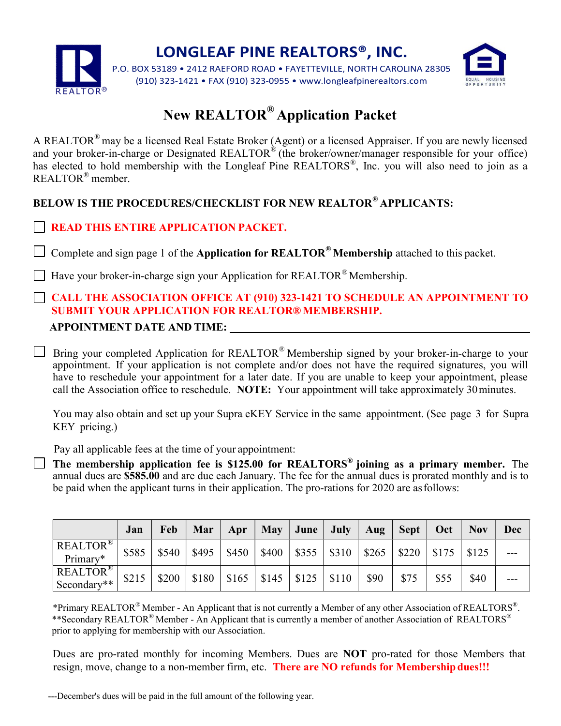

LONGLEAF PINE REALTORS®, INC.

P.O. BOX 53189 • 2412 RAEFORD ROAD • FAYETTEVILLE, NORTH CAROLINA 28305 (910) 323-1421 • FAX (910) 323-0955 • www.longleafpinerealtors.com



# New REALTOR® Application Packet

A REALTOR® may be a licensed Real Estate Broker (Agent) or a licensed Appraiser. If you are newly licensed and your broker-in-charge or Designated REALTOR® (the broker/owner/manager responsible for your office) has elected to hold membership with the Longleaf Pine REALTORS®, Inc. you will also need to join as a REALTOR® member.

## BELOW IS THE PROCEDURES/CHECKLIST FOR NEW REALTOR® APPLICANTS:

### READ THIS ENTIRE APPLICATION PACKET.

Complete and sign page 1 of the Application for REALTOR® Membership attached to this packet.

 $\Box$  Have your broker-in-charge sign your Application for REALTOR<sup>®</sup> Membership.

### CALL THE ASSOCIATION OFFICE AT (910) 323-1421 TO SCHEDULE AN APPOINTMENT TO SUBMIT YOUR APPLICATION FOR REALTOR® MEMBERSHIP.

APPOINTMENT DATE AND TIME:

Bring your completed Application for REALTOR® Membership signed by your broker-in-charge to your appointment. If your application is not complete and/or does not have the required signatures, you will have to reschedule your appointment for a later date. If you are unable to keep your appointment, please call the Association office to reschedule. NOTE: Your appointment will take approximately 30 minutes.

You may also obtain and set up your Supra eKEY Service in the same appointment. (See page 3 for Supra KEY pricing.)

Pay all applicable fees at the time of your appointment:

The membership application fee is \$125.00 for REALTORS<sup>®</sup> joining as a primary member. The annual dues are \$**585**.00 and are due each January. The fee for the annual dues is prorated monthly and is to be paid when the applicant turns in their application. The pro-rations for 2020 are as follows:

|                                | Jan   | Feb   | Mar                         | Apr                                       | May June July                   |       | Aug'  | Sept  | Oct            | <b>Nov</b> | <b>Dec</b> |
|--------------------------------|-------|-------|-----------------------------|-------------------------------------------|---------------------------------|-------|-------|-------|----------------|------------|------------|
| <b>REALTOR®</b><br>Primary*    | \$585 | \$540 | $\vert$ \$495 $\vert$ \$450 |                                           | $  $400 \t   $355 \t   $310 \t$ |       | \$265 | \$220 | $\sqrt{\$175}$ | \$125      |            |
| <b>REALTOR®</b><br>Secondary** | \$215 | \$200 |                             | $$180 \mid $165 \mid $145 \mid $125 \mid$ |                                 | \$110 | \$90  | \$75  | \$55           | \$40       |            |

<sup>\*</sup>Primary REALTOR® Member - An Applicant that is not currently a Member of any other Association of REALTORS®. \*\*Secondary REALTOR<sup>®</sup> Member - An Applicant that is currently a member of another Association of REALTORS<sup>®</sup> prior to applying for membership with our Association.

Dues are pro-rated monthly for incoming Members. Dues are NOT pro-rated for those Members that resign, move, change to a non-member firm, etc. There are NO refunds for Membership dues!!!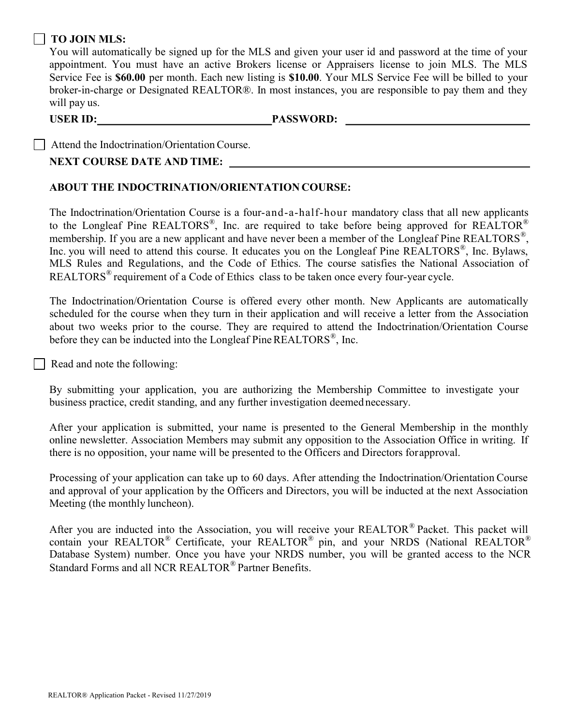#### TO JOIN MLS:

You will automatically be signed up for the MLS and given your user id and password at the time of your appointment. You must have an active Brokers license or Appraisers license to join MLS. The MLS Service Fee is \$60.00 per month. Each new listing is \$10.00. Your MLS Service Fee will be billed to your broker-in-charge or Designated REALTOR®. In most instances, you are responsible to pay them and they will pay us.

USER ID: PASSWORD:

| Attend the Indoctrination/Orientation Course.

#### NEXT COURSE DATE AND TIME:

#### ABOUT THE INDOCTRINATION/ORIENTATION COURSE:

The Indoctrination/Orientation Course is a four-and-a-half-hour mandatory class that all new applicants to the Longleaf Pine REALTORS®, Inc. are required to take before being approved for REALTOR® membership. If you are a new applicant and have never been a member of the Longleaf Pine REALTORS<sup>®</sup>, Inc. you will need to attend this course. It educates you on the Longleaf Pine REALTORS®, Inc. Bylaws, MLS Rules and Regulations, and the Code of Ethics. The course satisfies the National Association of REALTORS® requirement of a Code of Ethics class to be taken once every four-year cycle.

The Indoctrination/Orientation Course is offered every other month. New Applicants are automatically scheduled for the course when they turn in their application and will receive a letter from the Association about two weeks prior to the course. They are required to attend the Indoctrination/Orientation Course before they can be inducted into the Longleaf Pine REALTORS $^{\circ\circ}$ , Inc.

Read and note the following:

By submitting your application, you are authorizing the Membership Committee to investigate your business practice, credit standing, and any further investigation deemed necessary.

After your application is submitted, your name is presented to the General Membership in the monthly online newsletter. Association Members may submit any opposition to the Association Office in writing. If there is no opposition, your name will be presented to the Officers and Directors forapproval.

Processing of your application can take up to 60 days. After attending the Indoctrination/Orientation Course and approval of your application by the Officers and Directors, you will be inducted at the next Association Meeting (the monthly luncheon).

After you are inducted into the Association, you will receive your REALTOR® Packet. This packet will contain your REALTOR® Certificate, your REALTOR® pin, and your NRDS (National REALTOR® Database System) number. Once you have your NRDS number, you will be granted access to the NCR Standard Forms and all NCR REALTOR® Partner Benefits.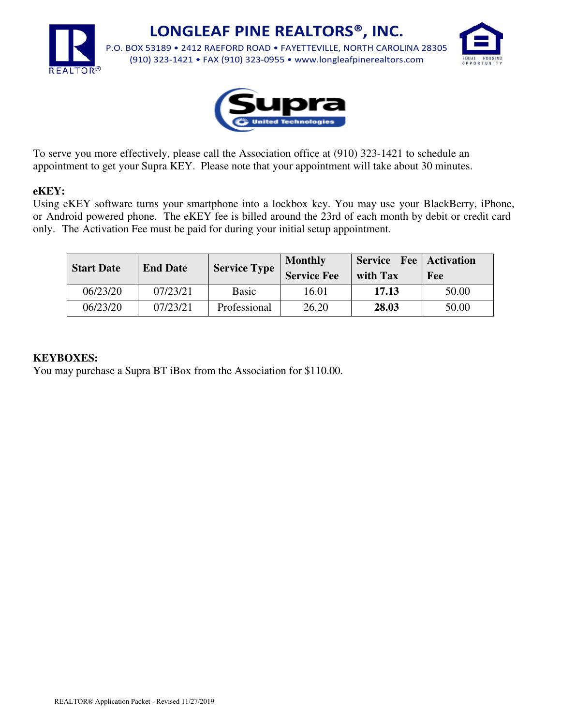

**LONGLEAF PINE REALTORS®, INC.**

P.O. BOX 53189 • 2412 RAEFORD ROAD • FAYETTEVILLE, NORTH CAROLINA 28305 (910) 323-1421 • FAX (910) 323-0955 • www.longleafpinerealtors.com





To serve you more effectively, please call the Association office at (910) 323-1421 to schedule an appointment to get your Supra KEY. Please note that your appointment will take about 30 minutes.

#### **eKEY:**

Using eKEY software turns your smartphone into a lockbox key. You may use your BlackBerry, iPhone, or Android powered phone. The eKEY fee is billed around the 23rd of each month by debit or credit card only. The Activation Fee must be paid for during your initial setup appointment.

| <b>Start Date</b> | <b>End Date</b> | <b>Service Type</b> | <b>Monthly</b><br><b>Service Fee</b> | <b>Service</b> Fee Activation<br>with Tax | Fee   |
|-------------------|-----------------|---------------------|--------------------------------------|-------------------------------------------|-------|
| 06/23/20          | 07/23/21        | <b>Basic</b>        | 16.01                                | 17.13                                     | 50.00 |
| 06/23/20          | 07/23/21        | Professional        | 26.20                                | 28.03                                     | 50.00 |

#### **KEYBOXES:**

You may purchase a Supra BT iBox from the Association for \$110.00.